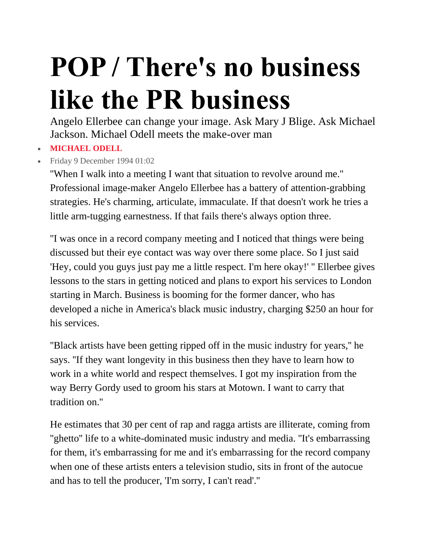## **POP / There's no business like the PR business**

Angelo Ellerbee can change your image. Ask Mary J Blige. Ask Michael Jackson. Michael Odell meets the make-over man

## **[MICHAEL](https://www.independent.co.uk/author/michael-odell) ODELL**

Friday 9 December 1994 01:02

''When I walk into a meeting I want that situation to revolve around me.'' Professional image-maker Angelo Ellerbee has a battery of attention-grabbing strategies. He's charming, articulate, immaculate. If that doesn't work he tries a little arm-tugging earnestness. If that fails there's always option three.

''I was once in a record company meeting and I noticed that things were being discussed but their eye contact was way over there some place. So I just said 'Hey, could you guys just pay me a little respect. I'm here okay!' '' Ellerbee gives lessons to the stars in getting noticed and plans to export his services to London starting in March. Business is booming for the former dancer, who has developed a niche in America's black music industry, charging \$250 an hour for his services.

''Black artists have been getting ripped off in the music industry for years,'' he says. ''If they want longevity in this business then they have to learn how to work in a white world and respect themselves. I got my inspiration from the way Berry Gordy used to groom his stars at Motown. I want to carry that tradition on.''

He estimates that 30 per cent of rap and ragga artists are illiterate, coming from "ghetto" life to a white-dominated music industry and media. "It's embarrassing for them, it's embarrassing for me and it's embarrassing for the record company when one of these artists enters a television studio, sits in front of the autocue and has to tell the producer, 'I'm sorry, I can't read'.''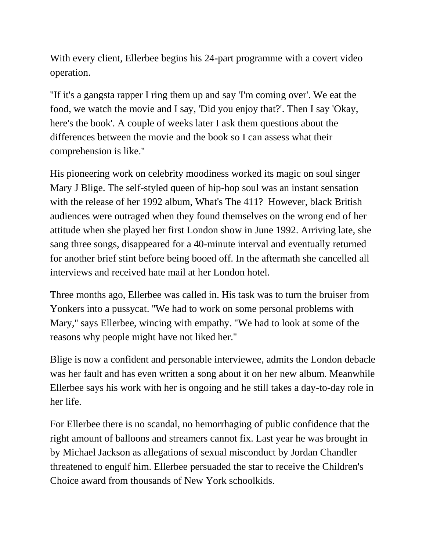With every client, Ellerbee begins his 24-part programme with a covert video operation.

''If it's a gangsta rapper I ring them up and say 'I'm coming over'. We eat the food, we watch the movie and I say, 'Did you enjoy that?'. Then I say 'Okay, here's the book'. A couple of weeks later I ask them questions about the differences between the movie and the book so I can assess what their comprehension is like.''

His pioneering work on celebrity moodiness worked its magic on soul singer Mary J Blige. The self-styled queen of hip-hop soul was an instant sensation with the release of her 1992 album, What's The 411? However, black British audiences were outraged when they found themselves on the wrong end of her attitude when she played her first London show in June 1992. Arriving late, she sang three songs, disappeared for a 40-minute interval and eventually returned for another brief stint before being booed off. In the aftermath she cancelled all interviews and received hate mail at her London hotel.

Three months ago, Ellerbee was called in. His task was to turn the bruiser from Yonkers into a pussycat. ''We had to work on some personal problems with Mary,'' says Ellerbee, wincing with empathy. ''We had to look at some of the reasons why people might have not liked her.''

Blige is now a confident and personable interviewee, admits the London debacle was her fault and has even written a song about it on her new album. Meanwhile Ellerbee says his work with her is ongoing and he still takes a day-to-day role in her life.

For Ellerbee there is no scandal, no hemorrhaging of public confidence that the right amount of balloons and streamers cannot fix. Last year he was brought in by Michael Jackson as allegations of sexual misconduct by Jordan Chandler threatened to engulf him. Ellerbee persuaded the star to receive the Children's Choice award from thousands of New York schoolkids.